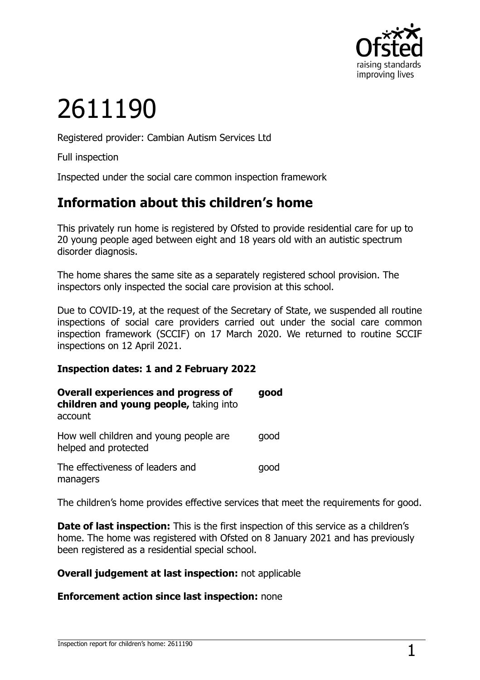

# 2611190

Registered provider: Cambian Autism Services Ltd

Full inspection

Inspected under the social care common inspection framework

## **Information about this children's home**

This privately run home is registered by Ofsted to provide residential care for up to 20 young people aged between eight and 18 years old with an autistic spectrum disorder diagnosis.

The home shares the same site as a separately registered school provision. The inspectors only inspected the social care provision at this school.

Due to COVID-19, at the request of the Secretary of State, we suspended all routine inspections of social care providers carried out under the social care common inspection framework (SCCIF) on 17 March 2020. We returned to routine SCCIF inspections on 12 April 2021.

#### **Inspection dates: 1 and 2 February 2022**

| <b>Overall experiences and progress of</b><br>children and young people, taking into<br>account | good |
|-------------------------------------------------------------------------------------------------|------|
| How well children and young people are<br>helped and protected                                  | good |
| The effectiveness of leaders and<br>managers                                                    | qood |

The children's home provides effective services that meet the requirements for good.

**Date of last inspection:** This is the first inspection of this service as a children's home. The home was registered with Ofsted on 8 January 2021 and has previously been registered as a residential special school.

#### **Overall judgement at last inspection:** not applicable

#### **Enforcement action since last inspection:** none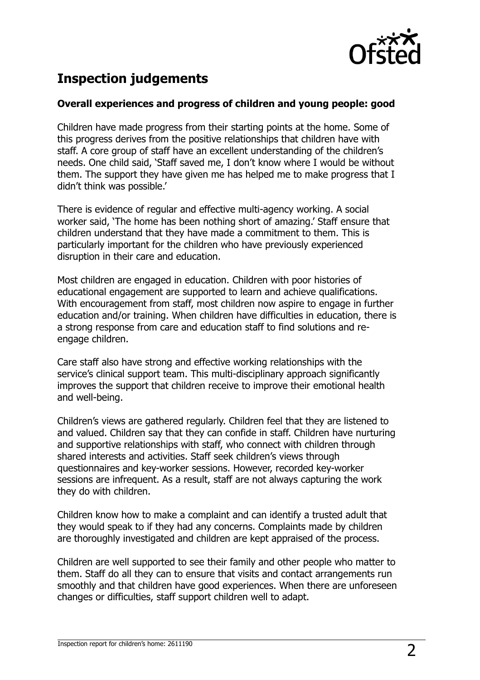

# **Inspection judgements**

#### **Overall experiences and progress of children and young people: good**

Children have made progress from their starting points at the home. Some of this progress derives from the positive relationships that children have with staff. A core group of staff have an excellent understanding of the children's needs. One child said, 'Staff saved me, I don't know where I would be without them. The support they have given me has helped me to make progress that I didn't think was possible.'

There is evidence of regular and effective multi-agency working. A social worker said, 'The home has been nothing short of amazing.' Staff ensure that children understand that they have made a commitment to them. This is particularly important for the children who have previously experienced disruption in their care and education.

Most children are engaged in education. Children with poor histories of educational engagement are supported to learn and achieve qualifications. With encouragement from staff, most children now aspire to engage in further education and/or training. When children have difficulties in education, there is a strong response from care and education staff to find solutions and reengage children.

Care staff also have strong and effective working relationships with the service's clinical support team. This multi-disciplinary approach significantly improves the support that children receive to improve their emotional health and well-being.

Children's views are gathered regularly. Children feel that they are listened to and valued. Children say that they can confide in staff. Children have nurturing and supportive relationships with staff, who connect with children through shared interests and activities. Staff seek children's views through questionnaires and key-worker sessions. However, recorded key-worker sessions are infrequent. As a result, staff are not always capturing the work they do with children.

Children know how to make a complaint and can identify a trusted adult that they would speak to if they had any concerns. Complaints made by children are thoroughly investigated and children are kept appraised of the process.

Children are well supported to see their family and other people who matter to them. Staff do all they can to ensure that visits and contact arrangements run smoothly and that children have good experiences. When there are unforeseen changes or difficulties, staff support children well to adapt.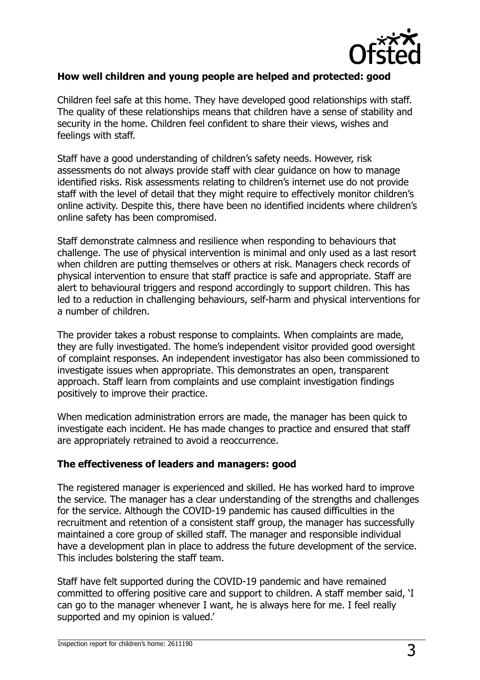

#### **How well children and young people are helped and protected: good**

Children feel safe at this home. They have developed good relationships with staff. The quality of these relationships means that children have a sense of stability and security in the home. Children feel confident to share their views, wishes and feelings with staff.

Staff have a good understanding of children's safety needs. However, risk assessments do not always provide staff with clear guidance on how to manage identified risks. Risk assessments relating to children's internet use do not provide staff with the level of detail that they might require to effectively monitor children's online activity. Despite this, there have been no identified incidents where children's online safety has been compromised.

Staff demonstrate calmness and resilience when responding to behaviours that challenge. The use of physical intervention is minimal and only used as a last resort when children are putting themselves or others at risk. Managers check records of physical intervention to ensure that staff practice is safe and appropriate. Staff are alert to behavioural triggers and respond accordingly to support children. This has led to a reduction in challenging behaviours, self-harm and physical interventions for a number of children.

The provider takes a robust response to complaints. When complaints are made, they are fully investigated. The home's independent visitor provided good oversight of complaint responses. An independent investigator has also been commissioned to investigate issues when appropriate. This demonstrates an open, transparent approach. Staff learn from complaints and use complaint investigation findings positively to improve their practice.

When medication administration errors are made, the manager has been quick to investigate each incident. He has made changes to practice and ensured that staff are appropriately retrained to avoid a reoccurrence.

#### **The effectiveness of leaders and managers: good**

The registered manager is experienced and skilled. He has worked hard to improve the service. The manager has a clear understanding of the strengths and challenges for the service. Although the COVID-19 pandemic has caused difficulties in the recruitment and retention of a consistent staff group, the manager has successfully maintained a core group of skilled staff. The manager and responsible individual have a development plan in place to address the future development of the service. This includes bolstering the staff team.

Staff have felt supported during the COVID-19 pandemic and have remained committed to offering positive care and support to children. A staff member said, 'I can go to the manager whenever I want, he is always here for me. I feel really supported and my opinion is valued.'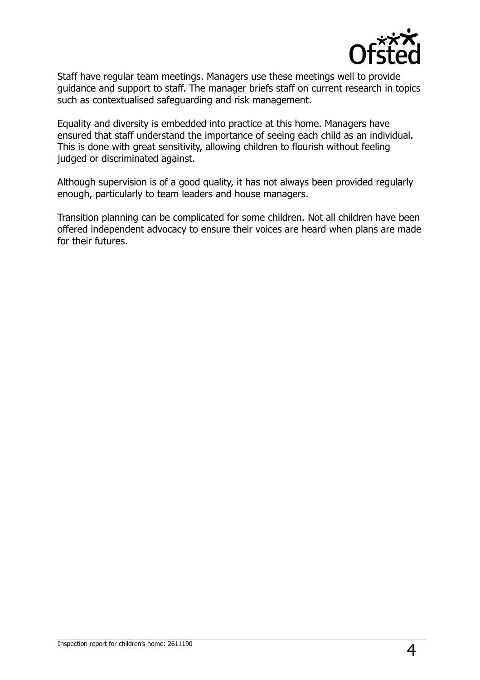

Staff have regular team meetings. Managers use these meetings well to provide guidance and support to staff. The manager briefs staff on current research in topics such as contextualised safeguarding and risk management.

Equality and diversity is embedded into practice at this home. Managers have ensured that staff understand the importance of seeing each child as an individual. This is done with great sensitivity, allowing children to flourish without feeling judged or discriminated against.

Although supervision is of a good quality, it has not always been provided regularly enough, particularly to team leaders and house managers.

Transition planning can be complicated for some children. Not all children have been offered independent advocacy to ensure their voices are heard when plans are made for their futures.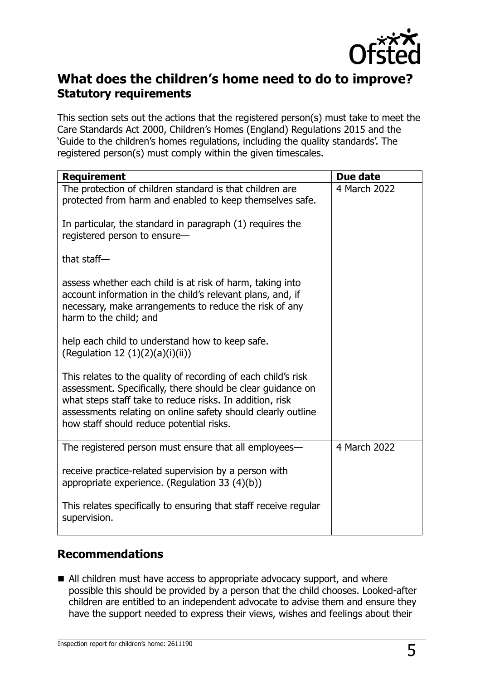

## **What does the children's home need to do to improve? Statutory requirements**

This section sets out the actions that the registered person(s) must take to meet the Care Standards Act 2000, Children's Homes (England) Regulations 2015 and the 'Guide to the children's homes regulations, including the quality standards'. The registered person(s) must comply within the given timescales.

| <b>Requirement</b>                                                                                                                                                                                                                                                                                   | Due date     |
|------------------------------------------------------------------------------------------------------------------------------------------------------------------------------------------------------------------------------------------------------------------------------------------------------|--------------|
| The protection of children standard is that children are<br>protected from harm and enabled to keep themselves safe.                                                                                                                                                                                 | 4 March 2022 |
| In particular, the standard in paragraph (1) requires the<br>registered person to ensure-                                                                                                                                                                                                            |              |
| that staff $-$                                                                                                                                                                                                                                                                                       |              |
| assess whether each child is at risk of harm, taking into<br>account information in the child's relevant plans, and, if<br>necessary, make arrangements to reduce the risk of any<br>harm to the child; and                                                                                          |              |
| help each child to understand how to keep safe.<br>(Regulation 12 (1)(2)(a)(i)(ii))                                                                                                                                                                                                                  |              |
| This relates to the quality of recording of each child's risk<br>assessment. Specifically, there should be clear guidance on<br>what steps staff take to reduce risks. In addition, risk<br>assessments relating on online safety should clearly outline<br>how staff should reduce potential risks. |              |
| The registered person must ensure that all employees—                                                                                                                                                                                                                                                | 4 March 2022 |
| receive practice-related supervision by a person with<br>appropriate experience. (Regulation 33 (4)(b))                                                                                                                                                                                              |              |
| This relates specifically to ensuring that staff receive regular<br>supervision.                                                                                                                                                                                                                     |              |

### **Recommendations**

■ All children must have access to appropriate advocacy support, and where possible this should be provided by a person that the child chooses. Looked-after children are entitled to an independent advocate to advise them and ensure they have the support needed to express their views, wishes and feelings about their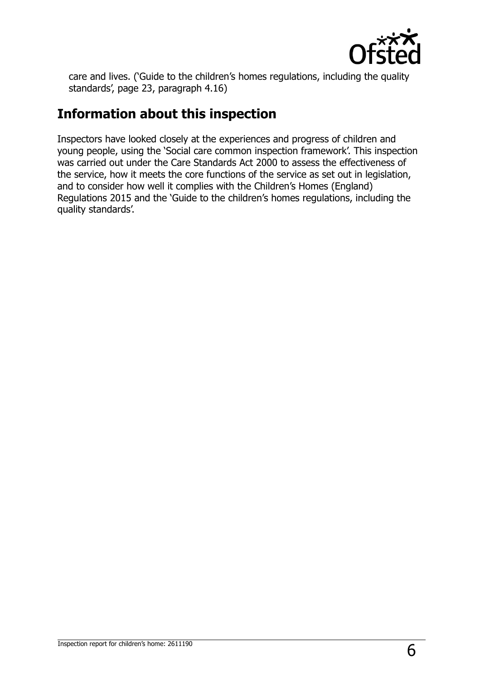

care and lives. ('Guide to the children's homes regulations, including the quality standards', page 23, paragraph 4.16)

# **Information about this inspection**

Inspectors have looked closely at the experiences and progress of children and young people, using the 'Social care common inspection framework'. This inspection was carried out under the Care Standards Act 2000 to assess the effectiveness of the service, how it meets the core functions of the service as set out in legislation, and to consider how well it complies with the Children's Homes (England) Regulations 2015 and the 'Guide to the children's homes regulations, including the quality standards'.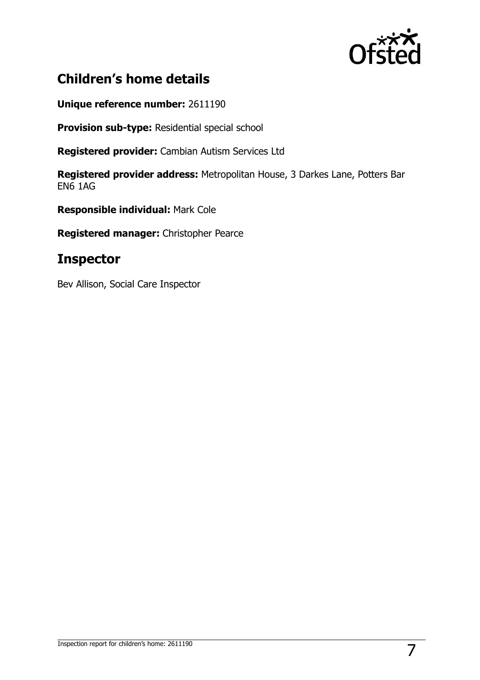

# **Children's home details**

**Unique reference number:** 2611190

**Provision sub-type:** Residential special school

**Registered provider:** Cambian Autism Services Ltd

**Registered provider address:** Metropolitan House, 3 Darkes Lane, Potters Bar EN6 1AG

**Responsible individual:** Mark Cole

**Registered manager:** Christopher Pearce

## **Inspector**

Bev Allison, Social Care Inspector